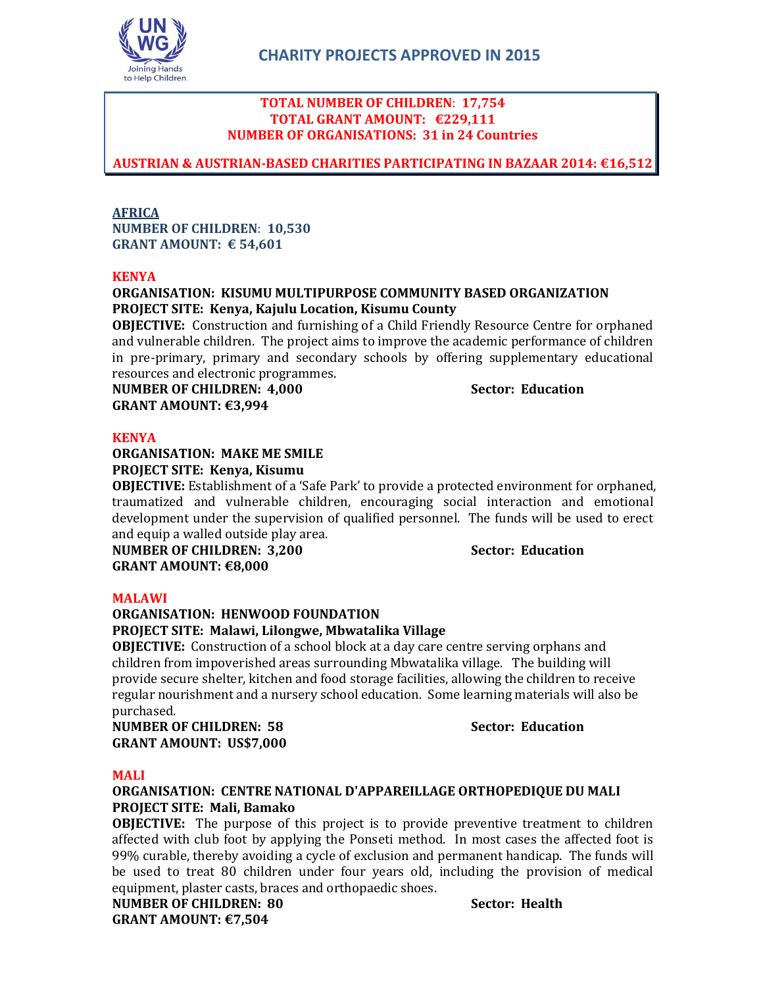

## **TOTAL NUMBER OF CHILDREN**: **17,754 TOTAL GRANT AMOUNT: €229,111 NUMBER OF ORGANISATIONS: 31 in 24 Countries**

**AUSTRIAN & AUSTRIAN-BASED CHARITIES PARTICIPATING IN BAZAAR 2014: €16,512**

## **AFRICA NUMBER OF CHILDREN**: **10,530 GRANT AMOUNT: € 54,601**

## **KENYA**

## **ORGANISATION: KISUMU MULTIPURPOSE COMMUNITY BASED ORGANIZATION PROJECT SITE: Kenya, Kajulu Location, Kisumu County**

**OBJECTIVE:** Construction and furnishing of a Child Friendly Resource Centre for orphaned and vulnerable children. The project aims to improve the academic performance of children in pre-primary, primary and secondary schools by offering supplementary educational resources and electronic programmes.

**NUMBER OF CHILDREN: 4,000 Sector: Education GRANT AMOUNT: €3,994**

## **KENYA**

## **ORGANISATION: MAKE ME SMILE PROJECT SITE: Kenya, Kisumu**

**OBJECTIVE:** Establishment of a 'Safe Park' to provide a protected environment for orphaned, traumatized and vulnerable children, encouraging social interaction and emotional development under the supervision of qualified personnel. The funds will be used to erect and equip a walled outside play area.

**NUMBER OF CHILDREN: 3,200 Sector: Education GRANT AMOUNT: €8,000**

## **MALAWI**

### **ORGANISATION: HENWOOD FOUNDATION PROJECT SITE: Malawi, Lilongwe, Mbwatalika Village**

## **OBJECTIVE:** Construction of a school block at a day care centre serving orphans and children from impoverished areas surrounding Mbwatalika village. The building will provide secure shelter, kitchen and food storage facilities, allowing the children to receive regular nourishment and a nursery school education. Some learning materials will also be purchased.

**NUMBER OF CHILDREN: 58 Sector: Education GRANT AMOUNT: US\$7,000**

## **MALI**

## **ORGANISATION: CENTRE NATIONAL D'APPAREILLAGE ORTHOPEDIQUE DU MALI PROJECT SITE: Mali, Bamako**

**OBJECTIVE:** The purpose of this project is to provide preventive treatment to children affected with club foot by applying the Ponseti method. In most cases the affected foot is 99% curable, thereby avoiding a cycle of exclusion and permanent handicap. The funds will be used to treat 80 children under four years old, including the provision of medical equipment, plaster casts, braces and orthopaedic shoes.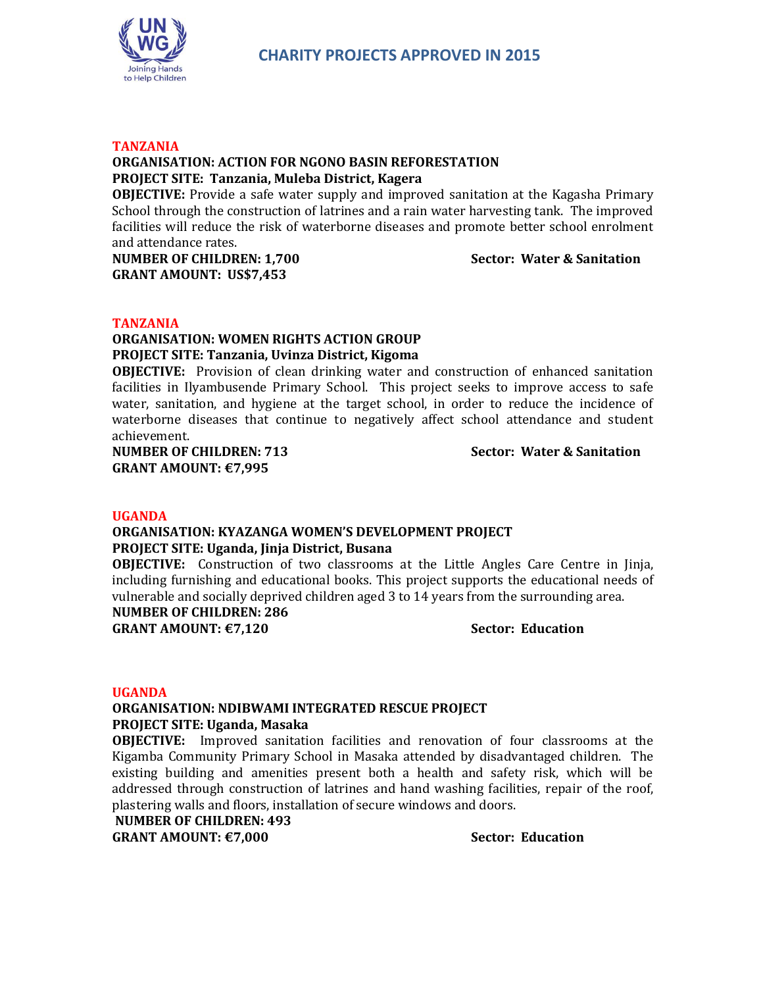

#### **TANZANIA**

## **ORGANISATION: ACTION FOR NGONO BASIN REFORESTATION PROJECT SITE: Tanzania, Muleba District, Kagera**

**OBJECTIVE:** Provide a safe water supply and improved sanitation at the Kagasha Primary School through the construction of latrines and a rain water harvesting tank. The improved facilities will reduce the risk of waterborne diseases and promote better school enrolment and attendance rates.

**NUMBER OF CHILDREN: 1,700 Sector: Water & Sanitation GRANT AMOUNT: US\$7,453**

#### **TANZANIA**

## **ORGANISATION: WOMEN RIGHTS ACTION GROUP PROJECT SITE: Tanzania, Uvinza District, Kigoma**

**OBJECTIVE:** Provision of clean drinking water and construction of enhanced sanitation facilities in Ilyambusende Primary School. This project seeks to improve access to safe water, sanitation, and hygiene at the target school, in order to reduce the incidence of waterborne diseases that continue to negatively affect school attendance and student achievement.

**NUMBER OF CHILDREN: 713 Sector: Water & Sanitation GRANT AMOUNT: €7,995**

#### **UGANDA**

## **ORGANISATION: KYAZANGA WOMEN'S DEVELOPMENT PROJECT PROJECT SITE: Uganda, Jinja District, Busana**

**OBJECTIVE:** Construction of two classrooms at the Little Angles Care Centre in Jinja, including furnishing and educational books. This project supports the educational needs of vulnerable and socially deprived children aged 3 to 14 years from the surrounding area.

**NUMBER OF CHILDREN: 286**

**GRANT AMOUNT: €7,120 Sector: Education**

#### **UGANDA**

#### **ORGANISATION: NDIBWAMI INTEGRATED RESCUE PROJECT PROJECT SITE: Uganda, Masaka**

**OBJECTIVE:** Improved sanitation facilities and renovation of four classrooms at the Kigamba Community Primary School in Masaka attended by disadvantaged children. The existing building and amenities present both a health and safety risk, which will be addressed through construction of latrines and hand washing facilities, repair of the roof, plastering walls and floors, installation of secure windows and doors.

**NUMBER OF CHILDREN: 493**

**GRANT AMOUNT: €7,000 Sector: Education**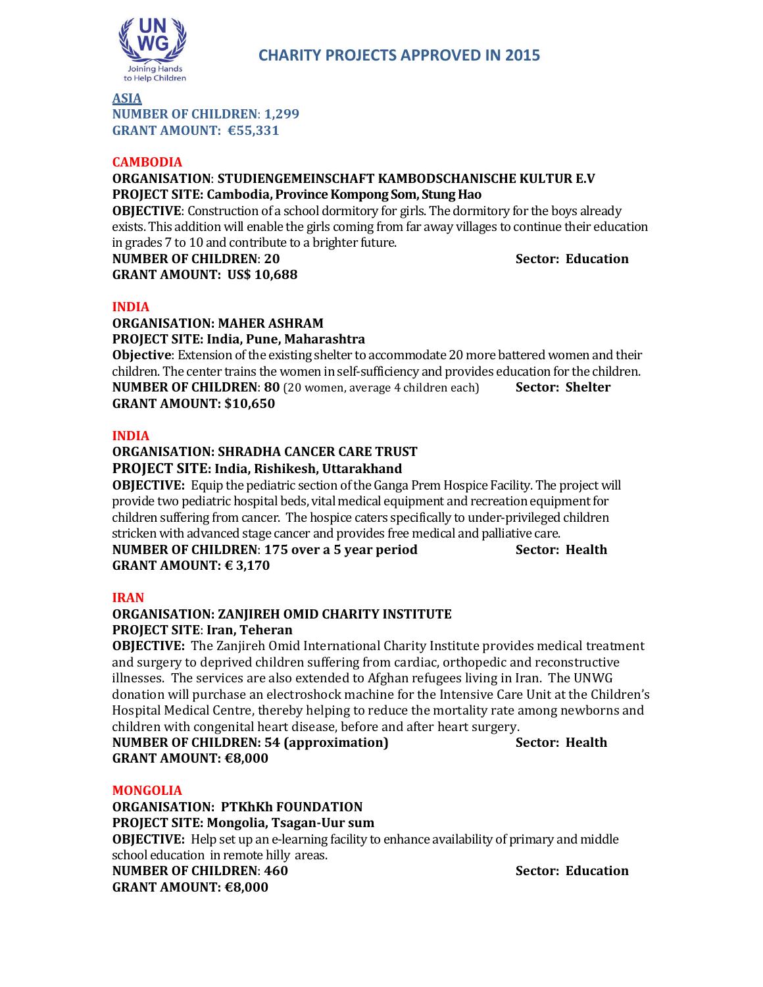

**ASIA**

**NUMBER OF CHILDREN**: **1,299 GRANT AMOUNT: €55,331**

## **CAMBODIA**

## **ORGANISATION**: **STUDIENGEMEINSCHAFT KAMBODSCHANISCHE KULTUR E.V PROJECT SITE: Cambodia,Province Kompong Som, Stung Hao**

**OBJECTIVE**: Construction of a school dormitory for girls. The dormitory for the boys already exists. This addition will enable the girls coming from far away villages to continue their education in grades 7 to 10 and contribute to a brighter future.

**NUMBER OF CHILDREN: 20 Sector: Education GRANT AMOUNT: US\$ 10,688** 

## **INDIA**

## **ORGANISATION: MAHER ASHRAM PROJECT SITE: India, Pune, Maharashtra**

**Objective**: Extension of the existing shelter to accommodate 20 more battered women and their children. The center trains the women in self-sufficiency and provides education for the children. **NUMBER OF CHILDREN: 80** (20 women, average 4 children each) **Sector: Shelter GRANT AMOUNT: \$10,650**

## **INDIA**

## **ORGANISATION: SHRADHA CANCER CARE TRUST PROJECT SITE: India, Rishikesh, Uttarakhand**

**OBJECTIVE:** Equip the pediatric section of the Ganga Prem Hospice Facility. The project will provide two pediatric hospital beds, vital medical equipment and recreation equipment for children suffering from cancer. The hospice caters specifically to under-privileged children stricken with advanced stage cancer and provides free medical and palliative care. **NUMBER OF CHILDREN**: **175 over a 5 year period Sector: Health GRANT AMOUNT: € 3,170**

## **IRAN**

## **ORGANISATION: ZANJIREH OMID CHARITY INSTITUTE PROJECT SITE**: **Iran, Teheran**

**OBJECTIVE:** The Zanjireh Omid International Charity Institute provides medical treatment and surgery to deprived children suffering from cardiac, orthopedic and reconstructive illnesses. The services are also extended to Afghan refugees living in Iran. The UNWG donation will purchase an electroshock machine for the Intensive Care Unit at the Children's Hospital Medical Centre, thereby helping to reduce the mortality rate among newborns and children with congenital heart disease, before and after heart surgery.

**NUMBER OF CHILDREN: 54 (approximation) Sector: Health GRANT AMOUNT: €8,000**

## **MONGOLIA**

**ORGANISATION: PTKhKh FOUNDATION PROJECT SITE: Mongolia, Tsagan-Uur sum OBJECTIVE:** Help set up an e-learning facility to enhance availability of primary and middle school education in remote hilly areas. **NUMBER OF CHILDREN: 460 Sector: Education GRANT AMOUNT: €8,000**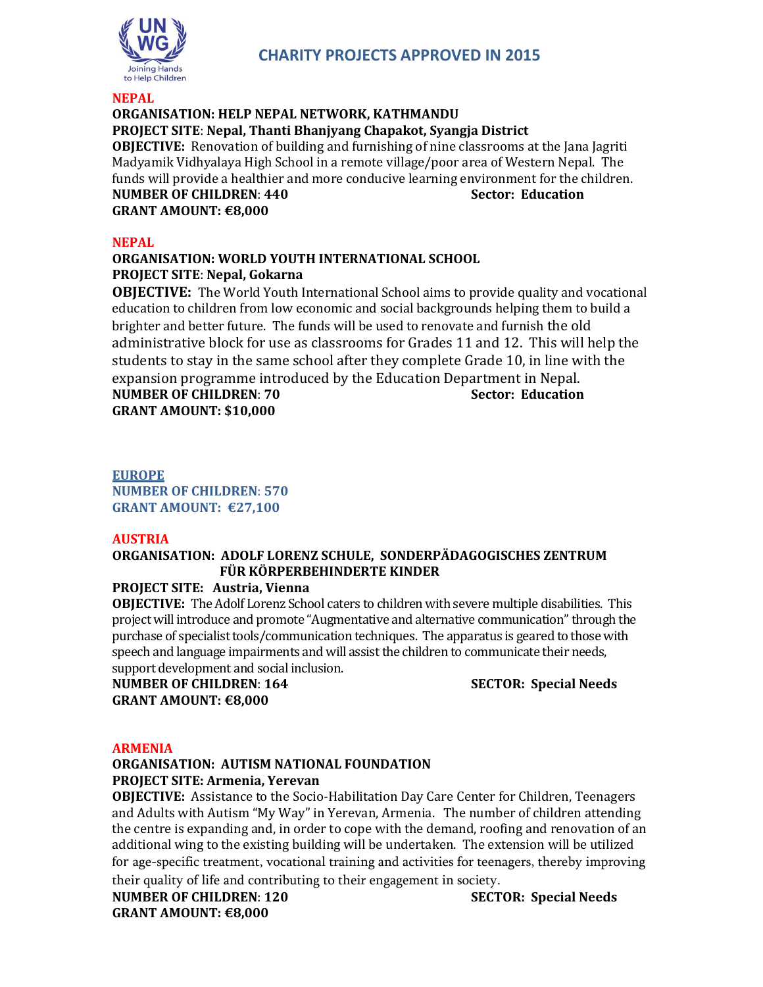

## **NEPAL ORGANISATION: HELP NEPAL NETWORK, KATHMANDU PROJECT SITE**: **Nepal, Thanti Bhanjyang Chapakot, Syangja District OBJECTIVE:** Renovation of building and furnishing of nine classrooms at the Jana Jagriti Madyamik Vidhyalaya High School in a remote village/poor area of Western Nepal. The funds will provide a healthier and more conducive learning environment for the children. **NUMBER OF CHILDREN**: **440 Sector: Education GRANT AMOUNT: €8,000**

**NEPAL**

## **ORGANISATION: WORLD YOUTH INTERNATIONAL SCHOOL PROJECT SITE**: **Nepal, Gokarna**

**OBJECTIVE:** The World Youth International School aims to provide quality and vocational education to children from low economic and social backgrounds helping them to build a brighter and better future. The funds will be used to renovate and furnish the old administrative block for use as classrooms for Grades 11 and 12. This will help the students to stay in the same school after they complete Grade 10, in line with the expansion programme introduced by the Education Department in Nepal. **NUMBER OF CHILDREN**: **70 Sector: Education**

**GRANT AMOUNT: \$10,000**

**EUROPE NUMBER OF CHILDREN**: **570 GRANT AMOUNT: €27,100**

## **AUSTRIA**

## **ORGANISATION: ADOLF LORENZ SCHULE, SONDERPÄDAGOGISCHES ZENTRUM FÜR KÖRPERBEHINDERTE KINDER**

**PROJECT SITE: Austria, Vienna**

**OBJECTIVE:** The Adolf Lorenz School caters to children with severe multiple disabilities. This project will introduce and promote "Augmentative and alternative communication" through the purchase of specialist tools/communication techniques. The apparatus is geared to those with speech and language impairments and will assist the children to communicate their needs, support development and social inclusion.

**NUMBER OF CHILDREN**: **164 SECTOR: Special Needs GRANT AMOUNT: €8,000**

## **ARMENIA**

## **ORGANISATION: AUTISM NATIONAL FOUNDATION PROJECT SITE: Armenia, Yerevan**

**OBJECTIVE:** Assistance to the Socio-Habilitation Day Care Center for Children, Teenagers and Adults with Autism "My Way" in Yerevan, Armenia. The number of children attending the centre is expanding and, in order to cope with the demand, roofing and renovation of an additional wing to the existing building will be undertaken. The extension will be utilized for age-specific treatment, vocational training and activities for teenagers, thereby improving their quality of life and contributing to their engagement in society.

**NUMBER OF CHILDREN**: **120 SECTOR: Special Needs GRANT AMOUNT: €8,000**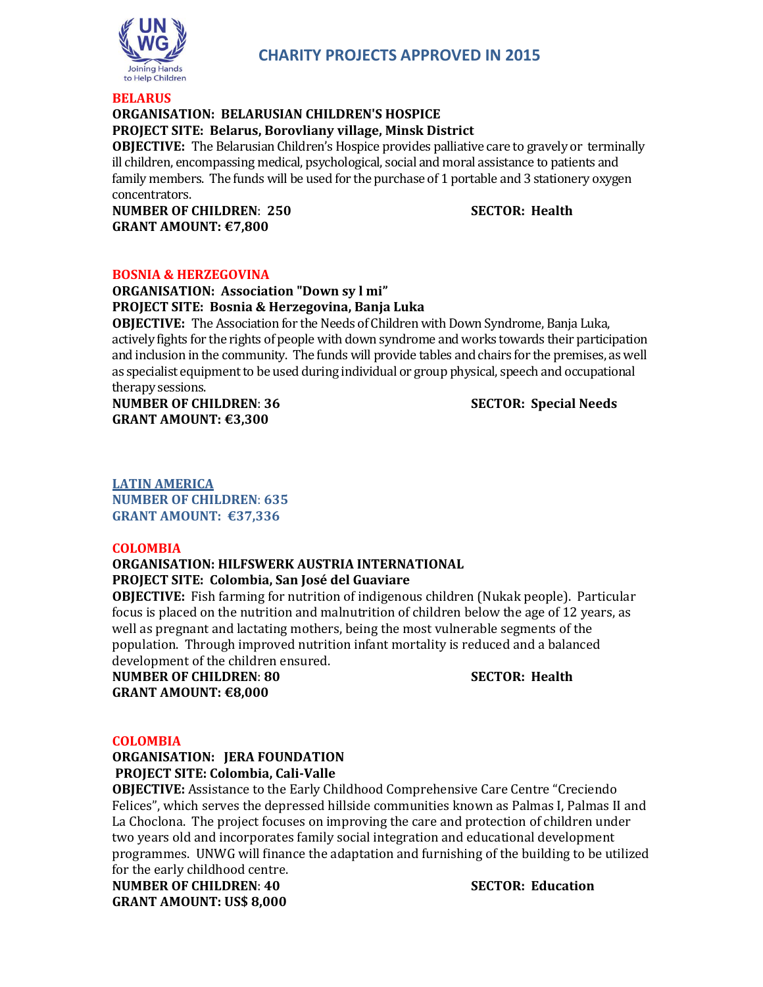

# **CHARITY PROJECTS APPROVED IN 2015**

#### **BELARUS**

## **ORGANISATION: BELARUSIAN CHILDREN'S HOSPICE**

## **PROJECT SITE: Belarus, Borovliany village, Minsk District**

**OBJECTIVE:** The Belarusian Children's Hospice provides palliative care to gravely or terminally ill children, encompassing medical, psychological, social and moral assistance to patients and family members. The funds will be used for the purchase of 1 portable and 3 stationery oxygen concentrators.

**NUMBER OF CHILDREN**: **250 SECTOR: Health GRANT AMOUNT: €7,800**

### **BOSNIA & HERZEGOVINA**

**ORGANISATION: Association "Down sy l mi" PROJECT SITE: Bosnia & Herzegovina, Banja Luka**

**OBJECTIVE:** The Association for the Needs of Children with Down Syndrome, Banja Luka, actively fights for the rights of people with down syndrome and works towards their participation and inclusion in the community. The funds will provide tables and chairs for the premises, as well as specialist equipment to be used during individual or group physical, speech and occupational therapy sessions.

**NUMBER OF CHILDREN**: **36 SECTOR: Special Needs GRANT AMOUNT: €3,300**

**LATIN AMERICA NUMBER OF CHILDREN**: **635 GRANT AMOUNT: €37,336**

### **COLOMBIA**

## **ORGANISATION: HILFSWERK AUSTRIA INTERNATIONAL PROJECT SITE: Colombia, San José del Guaviare**

**OBJECTIVE:** Fish farming for nutrition of indigenous children (Nukak people). Particular focus is placed on the nutrition and malnutrition of children below the age of 12 years, as well as pregnant and lactating mothers, being the most vulnerable segments of the population. Through improved nutrition infant mortality is reduced and a balanced development of the children ensured.

**NUMBER OF CHILDREN**: **80 SECTOR: Health GRANT AMOUNT: €8,000**

## **COLOMBIA**

**ORGANISATION: JERA FOUNDATION PROJECT SITE: Colombia, Cali-Valle**

**OBJECTIVE:** Assistance to the Early Childhood Comprehensive Care Centre "Creciendo Felices", which serves the depressed hillside communities known as Palmas I, Palmas II and La Choclona. The project focuses on improving the care and protection of children under two years old and incorporates family social integration and educational development programmes. UNWG will finance the adaptation and furnishing of the building to be utilized for the early childhood centre.

**NUMBER OF CHILDREN**: **40 SECTOR: Education GRANT AMOUNT: US\$ 8,000**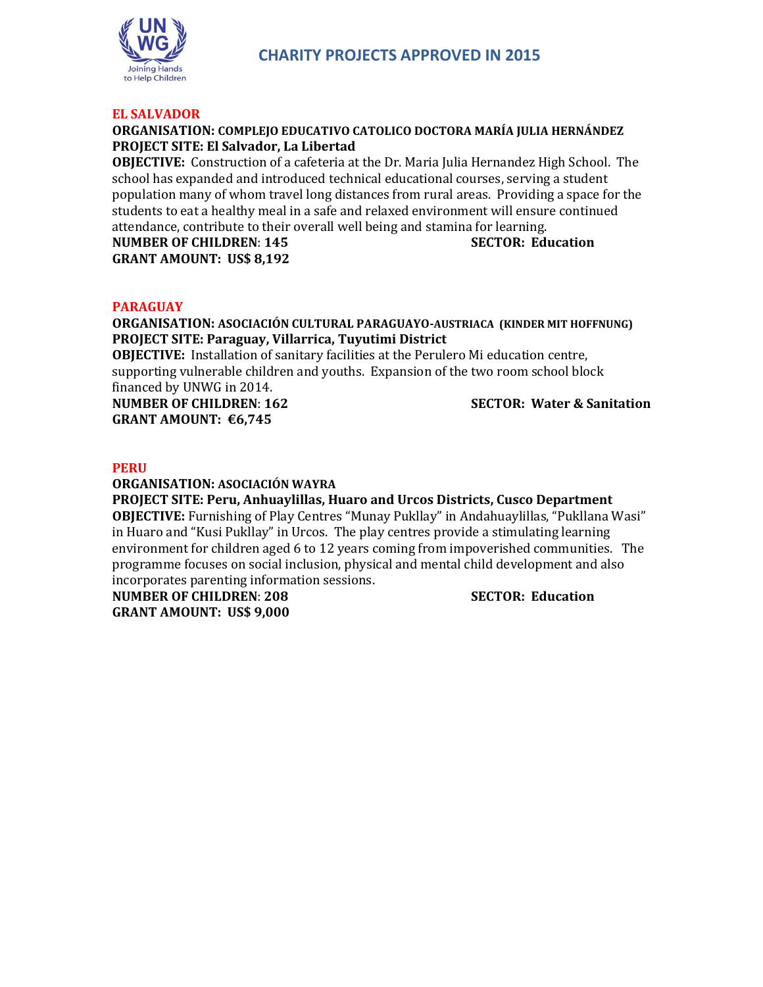

### **EL SALVADOR**

## **ORGANISATION: COMPLEJO EDUCATIVO CATOLICO DOCTORA MARÍA JULIA HERNÁNDEZ PROJECT SITE: El Salvador, La Libertad**

**OBJECTIVE:** Construction of a cafeteria at the Dr. Maria Julia Hernandez High School. The school has expanded and introduced technical educational courses, serving a student population many of whom travel long distances from rural areas. Providing a space for the students to eat a healthy meal in a safe and relaxed environment will ensure continued attendance, contribute to their overall well being and stamina for learning.

**NUMBER OF CHILDREN**: **145 SECTOR: Education GRANT AMOUNT: US\$ 8,192**

### **PARAGUAY**

**ORGANISATION: ASOCIACIÓN CULTURAL PARAGUAYO-AUSTRIACA (KINDER MIT HOFFNUNG) PROJECT SITE: Paraguay, Villarrica, Tuyutimi District**

**OBJECTIVE:** Installation of sanitary facilities at the Perulero Mi education centre, supporting vulnerable children and youths. Expansion of the two room school block financed by UNWG in 2014.

**GRANT AMOUNT: €6,745**

**NUMBER OF CHILDREN**: **162 SECTOR: Water & Sanitation**

#### **PERU**

**ORGANISATION: ASOCIACIÓN WAYRA**

**PROJECT SITE: Peru, Anhuaylillas, Huaro and Urcos Districts, Cusco Department OBJECTIVE:** Furnishing of Play Centres "Munay Pukllay" in Andahuaylillas, "Pukllana Wasi" in Huaro and "Kusi Pukllay" in Urcos. The play centres provide a stimulating learning environment for children aged 6 to 12 years coming from impoverished communities. The programme focuses on social inclusion, physical and mental child development and also incorporates parenting information sessions.

**NUMBER OF CHILDREN**: **208 SECTOR: Education GRANT AMOUNT: US\$ 9,000**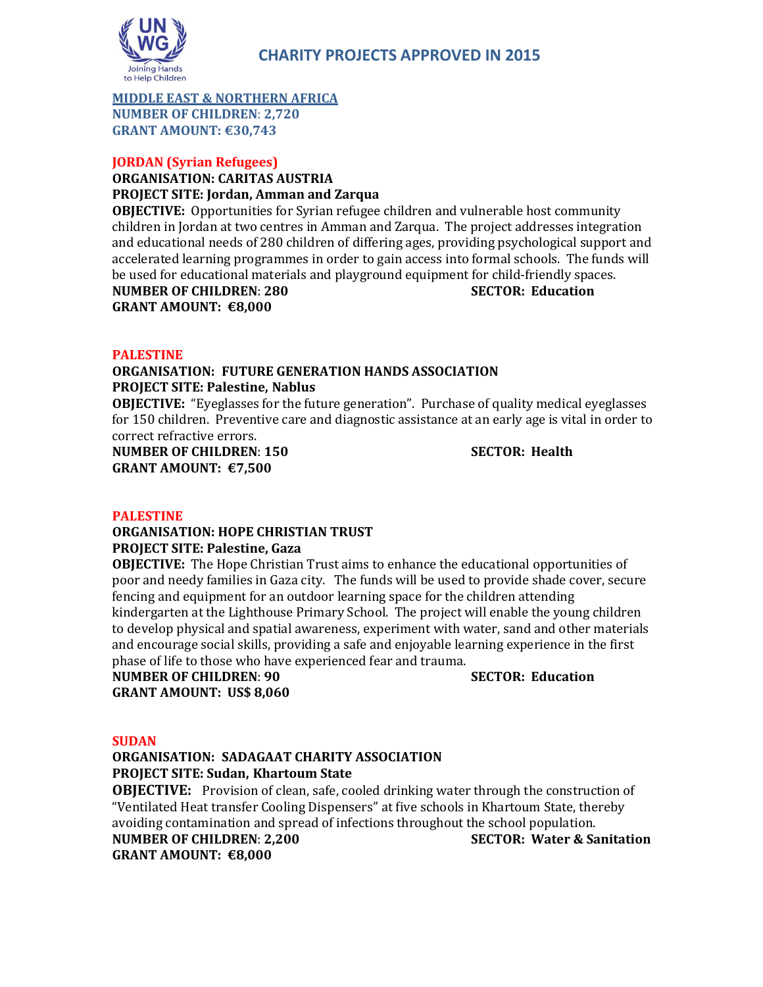

## **MIDDLE EAST & NORTHERN AFRICA NUMBER OF CHILDREN**: **2,720 GRANT AMOUNT: €30,743**

# **JORDAN (Syrian Refugees)**

#### **ORGANISATION: CARITAS AUSTRIA PROJECT SITE: Jordan, Amman and Zarqua**

**OBJECTIVE:** Opportunities for Syrian refugee children and vulnerable host community children in Jordan at two centres in Amman and Zarqua. The project addresses integration and educational needs of 280 children of differing ages, providing psychological support and accelerated learning programmes in order to gain access into formal schools. The funds will be used for educational materials and playground equipment for child-friendly spaces. **NUMBER OF CHILDREN**: **280 SECTOR: Education GRANT AMOUNT: €8,000**

## **PALESTINE**

## **ORGANISATION: FUTURE GENERATION HANDS ASSOCIATION PROJECT SITE: Palestine, Nablus**

**OBJECTIVE:** "Eyeglasses for the future generation". Purchase of quality medical eyeglasses for 150 children. Preventive care and diagnostic assistance at an early age is vital in order to correct refractive errors.

**NUMBER OF CHILDREN**: **150 SECTOR: Health GRANT AMOUNT: €7,500**

## **PALESTINE**

## **ORGANISATION: HOPE CHRISTIAN TRUST PROJECT SITE: Palestine, Gaza**

**OBJECTIVE:** The Hope Christian Trust aims to enhance the educational opportunities of poor and needy families in Gaza city. The funds will be used to provide shade cover, secure fencing and equipment for an outdoor learning space for the children attending kindergarten at the Lighthouse Primary School. The project will enable the young children to develop physical and spatial awareness, experiment with water, sand and other materials and encourage social skills, providing a safe and enjoyable learning experience in the first phase of life to those who have experienced fear and trauma.

## **NUMBER OF CHILDREN**: **90 SECTOR: Education GRANT AMOUNT: US\$ 8,060**

# **SUDAN**

## **ORGANISATION: SADAGAAT CHARITY ASSOCIATION PROJECT SITE: Sudan, Khartoum State**

**OBJECTIVE:** Provision of clean, safe, cooled drinking water through the construction of "Ventilated Heat transfer Cooling Dispensers" at five schools in Khartoum State, thereby avoiding contamination and spread of infections throughout the school population. **NUMBER OF CHILDREN**: **2,200 SECTOR: Water & Sanitation**

**GRANT AMOUNT: €8,000**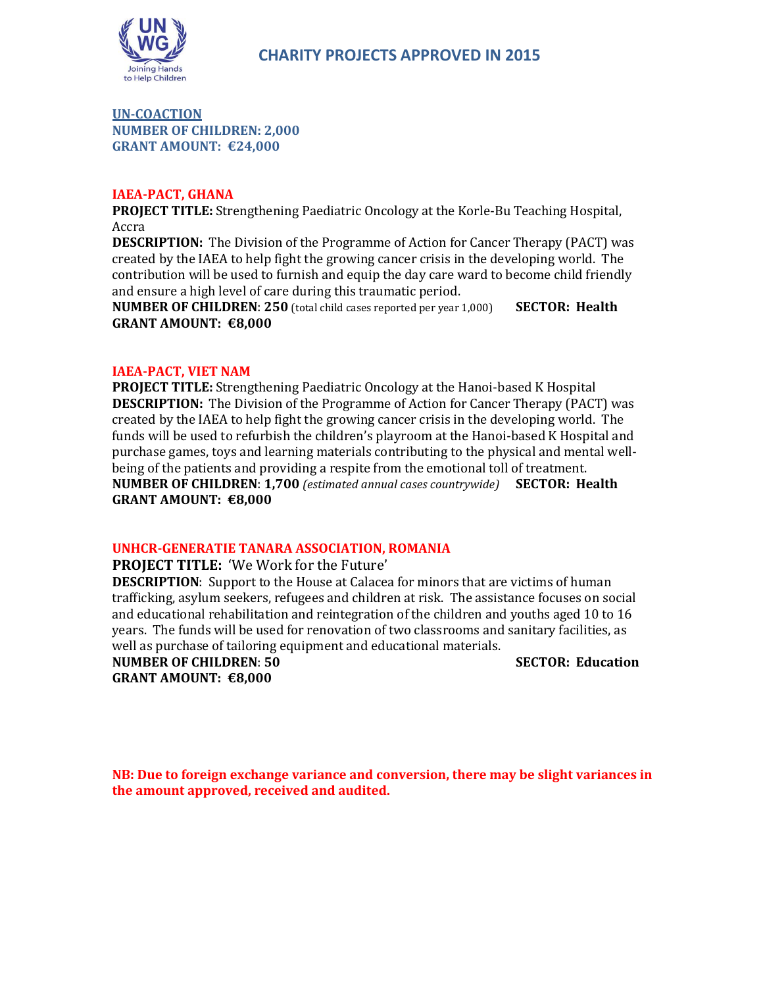

**UN-COACTION NUMBER OF CHILDREN: 2,000 GRANT AMOUNT: €24,000**

## **IAEA-PACT, GHANA**

**PROJECT TITLE:** Strengthening Paediatric Oncology at the Korle-Bu Teaching Hospital, Accra

**DESCRIPTION:** The Division of the Programme of Action for Cancer Therapy (PACT) was created by the IAEA to help fight the growing cancer crisis in the developing world. The contribution will be used to furnish and equip the day care ward to become child friendly and ensure a high level of care during this traumatic period.

**NUMBER OF CHILDREN**: **250** (total child cases reported per year 1,000) **SECTOR: Health GRANT AMOUNT: €8,000**

### **IAEA-PACT, VIET NAM**

**PROJECT TITLE:** Strengthening Paediatric Oncology at the Hanoi-based K Hospital **DESCRIPTION:** The Division of the Programme of Action for Cancer Therapy (PACT) was created by the IAEA to help fight the growing cancer crisis in the developing world. The funds will be used to refurbish the children's playroom at the Hanoi-based K Hospital and purchase games, toys and learning materials contributing to the physical and mental wellbeing of the patients and providing a respite from the emotional toll of treatment. **NUMBER OF CHILDREN**: **1,700** *(estimated annual cases countrywide)* **SECTOR: Health GRANT AMOUNT: €8,000**

## **UNHCR-GENERATIE TANARA ASSOCIATION, ROMANIA**

**PROJECT TITLE:** 'We Work for the Future'

**DESCRIPTION**: Support to the House at Calacea for minors that are victims of human trafficking, asylum seekers, refugees and children at risk. The assistance focuses on social and educational rehabilitation and reintegration of the children and youths aged 10 to 16 years. The funds will be used for renovation of two classrooms and sanitary facilities, as well as purchase of tailoring equipment and educational materials.

**NUMBER OF CHILDREN**: **50 SECTOR: Education GRANT AMOUNT: €8,000**

**NB: Due to foreign exchange variance and conversion, there may be slight variances in the amount approved, received and audited.**